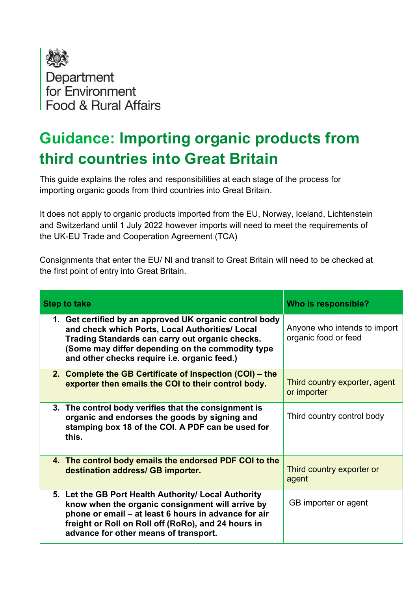

## Guidance: Importing organic products from third countries into Great Britain

This guide explains the roles and responsibilities at each stage of the process for importing organic goods from third countries into Great Britain.

It does not apply to organic products imported from the EU, Norway, Iceland, Lichtenstein and Switzerland until 1 July 2022 however imports will need to meet the requirements of the UK-EU Trade and Cooperation Agreement (TCA)

Consignments that enter the EU/ NI and transit to Great Britain will need to be checked at the first point of entry into Great Britain.

| <b>Step to take</b>                                                                                                                                                                                                                                               | Who is responsible?                                  |
|-------------------------------------------------------------------------------------------------------------------------------------------------------------------------------------------------------------------------------------------------------------------|------------------------------------------------------|
| 1. Get certified by an approved UK organic control body<br>and check which Ports, Local Authorities/ Local<br>Trading Standards can carry out organic checks.<br>(Some may differ depending on the commodity type<br>and other checks require i.e. organic feed.) | Anyone who intends to import<br>organic food or feed |
| 2. Complete the GB Certificate of Inspection (COI) – the<br>exporter then emails the COI to their control body.                                                                                                                                                   | Third country exporter, agent<br>or importer         |
| 3. The control body verifies that the consignment is<br>organic and endorses the goods by signing and<br>stamping box 18 of the COI. A PDF can be used for<br>this.                                                                                               | Third country control body                           |
| 4. The control body emails the endorsed PDF COI to the<br>destination address/ GB importer.                                                                                                                                                                       | Third country exporter or<br>agent                   |
| 5. Let the GB Port Health Authority/ Local Authority<br>know when the organic consignment will arrive by<br>phone or email - at least 6 hours in advance for air<br>freight or Roll on Roll off (RoRo), and 24 hours in<br>advance for other means of transport.  | GB importer or agent                                 |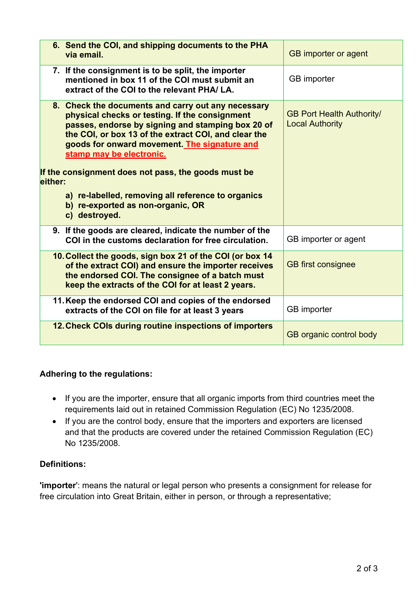| 6. Send the COI, and shipping documents to the PHA<br>via email.                                                                                                                                                                                                                                                                                                                                                                                                            | <b>GB</b> importer or agent                                |
|-----------------------------------------------------------------------------------------------------------------------------------------------------------------------------------------------------------------------------------------------------------------------------------------------------------------------------------------------------------------------------------------------------------------------------------------------------------------------------|------------------------------------------------------------|
| 7. If the consignment is to be split, the importer<br>mentioned in box 11 of the COI must submit an<br>extract of the COI to the relevant PHA/LA.                                                                                                                                                                                                                                                                                                                           | <b>GB</b> importer                                         |
| 8. Check the documents and carry out any necessary<br>physical checks or testing. If the consignment<br>passes, endorse by signing and stamping box 20 of<br>the COI, or box 13 of the extract COI, and clear the<br>goods for onward movement. The signature and<br>stamp may be electronic.<br>If the consignment does not pass, the goods must be<br>either:<br>a) re-labelled, removing all reference to organics<br>b) re-exported as non-organic, OR<br>c) destroyed. | <b>GB Port Health Authority/</b><br><b>Local Authority</b> |
| 9. If the goods are cleared, indicate the number of the<br>COI in the customs declaration for free circulation.                                                                                                                                                                                                                                                                                                                                                             | GB importer or agent                                       |
| 10. Collect the goods, sign box 21 of the COI (or box 14<br>of the extract COI) and ensure the importer receives<br>the endorsed COI. The consignee of a batch must<br>keep the extracts of the COI for at least 2 years.                                                                                                                                                                                                                                                   | <b>GB</b> first consignee                                  |
| 11. Keep the endorsed COI and copies of the endorsed<br>extracts of the COI on file for at least 3 years                                                                                                                                                                                                                                                                                                                                                                    | <b>GB</b> importer                                         |
| 12. Check COIs during routine inspections of importers                                                                                                                                                                                                                                                                                                                                                                                                                      | <b>GB</b> organic control body                             |

## Adhering to the regulations:

- If you are the importer, ensure that all organic imports from third countries meet the requirements laid out in retained Commission Regulation (EC) No 1235/2008.
- If you are the control body, ensure that the importers and exporters are licensed and that the products are covered under the retained Commission Regulation (EC) No 1235/2008.

## Definitions:

'importer': means the natural or legal person who presents a consignment for release for free circulation into Great Britain, either in person, or through a representative;